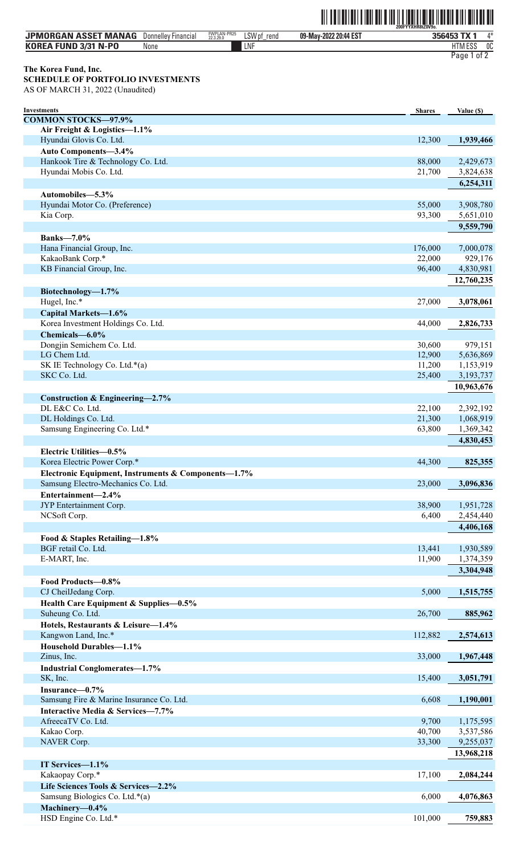## ˆ200FYYXHR8tZ0V9o.Š **200FYYXHR8tZ0V9o.**

| <b>JPMORGAN ASSET MANAG</b> | Donnelley<br>' Financial | FWPLAN-PR25<br>22.3.29.0 | LSW pf<br>rena | 09-May-2022 20:44 EST | . TV<br>356453 | 1* |
|-----------------------------|--------------------------|--------------------------|----------------|-----------------------|----------------|----|
| <b>KOREA FUND 3/31 N-PO</b> | None                     |                          | LNF            |                       | <b>HTMESS</b>  | 0C |
|                             |                          |                          |                |                       | Page<br>ot z   |    |

### **The Korea Fund, Inc.**

**SCHEDULE OF PORTFOLIO INVESTMENTS** AS OF MARCH 31, 2022 (Unaudited)

| <b>Investments</b>                                  | <b>Shares</b> | Value (\$) |
|-----------------------------------------------------|---------------|------------|
| <b>COMMON STOCKS-97.9%</b>                          |               |            |
| Air Freight & Logistics-1.1%                        |               |            |
| Hyundai Glovis Co. Ltd.                             | 12,300        | 1,939,466  |
| Auto Components-3.4%                                |               |            |
| Hankook Tire & Technology Co. Ltd.                  | 88,000        | 2,429,673  |
| Hyundai Mobis Co. Ltd.                              | 21,700        | 3,824,638  |
|                                                     |               | 6,254,311  |
| Automobiles-5.3%                                    |               |            |
| Hyundai Motor Co. (Preference)                      | 55,000        | 3,908,780  |
| Kia Corp.                                           | 93,300        | 5,651,010  |
|                                                     |               |            |
|                                                     |               | 9,559,790  |
| <b>Banks-7.0%</b>                                   |               |            |
| Hana Financial Group, Inc.                          | 176,000       | 7,000,078  |
| KakaoBank Corp.*                                    | 22,000        | 929,176    |
| KB Financial Group, Inc.                            | 96,400        | 4,830,981  |
|                                                     |               | 12,760,235 |
| Biotechnology-1.7%                                  |               |            |
| Hugel, Inc.*                                        | 27,000        | 3,078,061  |
| Capital Markets-1.6%                                |               |            |
| Korea Investment Holdings Co. Ltd.                  | 44,000        | 2,826,733  |
| Chemicals-6.0%                                      |               |            |
| Dongjin Semichem Co. Ltd.                           | 30,600        | 979,151    |
| LG Chem Ltd.                                        | 12,900        | 5,636,869  |
| SK IE Technology Co. Ltd.*(a)                       | 11,200        | 1,153,919  |
| SKC Co. Ltd.                                        | 25,400        | 3,193,737  |
|                                                     |               | 10,963,676 |
|                                                     |               |            |
| Construction & Engineering- $2.7\%$                 |               |            |
| DL E&C Co. Ltd.                                     | 22,100        | 2,392,192  |
| DL Holdings Co. Ltd.                                | 21,300        | 1,068,919  |
| Samsung Engineering Co. Ltd.*                       | 63,800        | 1,369,342  |
|                                                     |               | 4,830,453  |
| Electric Utilities-0.5%                             |               |            |
| Korea Electric Power Corp.*                         | 44,300        | 825,355    |
| Electronic Equipment, Instruments & Components-1.7% |               |            |
| Samsung Electro-Mechanics Co. Ltd.                  | 23,000        | 3,096,836  |
| Entertainment-2.4%                                  |               |            |
| JYP Entertainment Corp.                             | 38,900        | 1,951,728  |
| NCSoft Corp.                                        | 6,400         | 2,454,440  |
|                                                     |               | 4,406,168  |
| Food & Staples Retailing-1.8%                       |               |            |
| BGF retail Co. Ltd.                                 | 13,441        | 1,930,589  |
| E-MART, Inc.                                        | 11,900        | 1,374,359  |
|                                                     |               | 3,304,948  |
|                                                     |               |            |
| Food Products-0.8%                                  |               |            |
| CJ CheilJedang Corp.                                | 5,000         | 1,515,755  |
| Health Care Equipment & Supplies-0.5%               |               |            |
| Suheung Co. Ltd.                                    | 26,700        | 885,962    |
| Hotels, Restaurants & Leisure-1.4%                  |               |            |
| Kangwon Land, Inc.*                                 | 112,882       | 2,574,613  |
| Household Durables-1.1%                             |               |            |
| Zinus, Inc.                                         | 33,000        | 1,967,448  |
| <b>Industrial Conglomerates-1.7%</b>                |               |            |
| SK, Inc.                                            | 15,400        | 3,051,791  |
| Insurance-0.7%                                      |               |            |
| Samsung Fire & Marine Insurance Co. Ltd.            | 6,608         | 1,190,001  |
| Interactive Media & Services-7.7%                   |               |            |
| AfreecaTV Co. Ltd.                                  | 9,700         | 1,175,595  |
| Kakao Corp.                                         | 40,700        | 3,537,586  |
| NAVER Corp.                                         | 33,300        | 9,255,037  |
|                                                     |               |            |
|                                                     |               | 13,968,218 |
| IT Services-1.1%                                    |               |            |
| Kakaopay Corp.*                                     | 17,100        | 2,084,244  |
| Life Sciences Tools & Services-2.2%                 |               |            |
| Samsung Biologics Co. Ltd.*(a)                      | 6,000         | 4,076,863  |
| Machinery-0.4%                                      |               |            |
| HSD Engine Co. Ltd.*                                | 101,000       | 759,883    |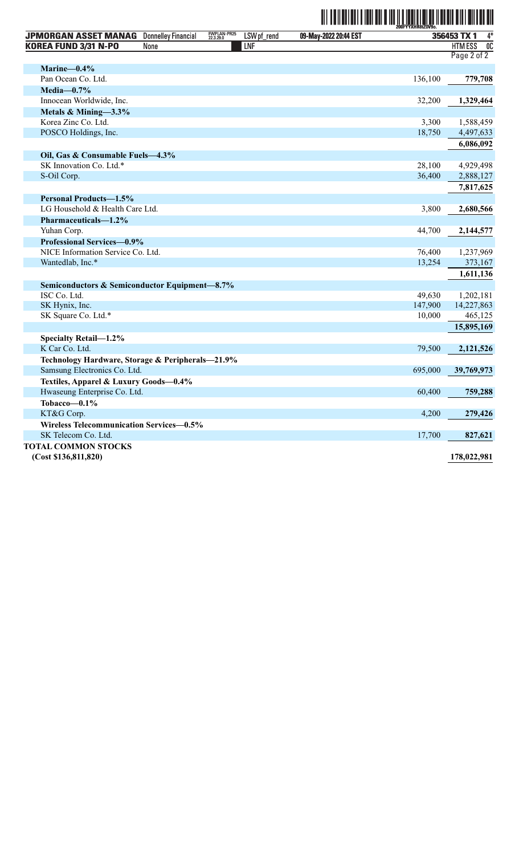# ˆ200FYYXHR8tZ0V9o.Š **200FYYXHR8tZ0V9o.**

| 356453 TX 1<br><b>HTMESS</b><br>KOREA FUND 3/31 N-PO<br>LNF<br>0 <sup>C</sup><br>None<br>Page 2 of 2<br>Marine-0.4%<br>Pan Ocean Co. Ltd.<br>136,100<br>779,708<br>Media- $0.7\%$<br>Innocean Worldwide, Inc.<br>32,200<br>1,329,464<br>Metals & Mining-3.3%<br>Korea Zinc Co. Ltd.<br>3,300<br>1,588,459<br>POSCO Holdings, Inc.<br>18,750<br>4,497,633<br>6,086,092<br>Oil, Gas & Consumable Fuels-4.3%<br>SK Innovation Co. Ltd.*<br>28,100<br>4,929,498<br>S-Oil Corp.<br>36,400<br>2,888,127<br>7,817,625<br><b>Personal Products-1.5%</b><br>LG Household & Health Care Ltd.<br>3,800<br>2,680,566<br>Pharmaceuticals-1.2%<br>Yuhan Corp.<br>44,700<br>2,144,577<br>Professional Services-0.9%<br>NICE Information Service Co. Ltd.<br>76,400<br>1,237,969<br>13,254<br>Wantedlab, Inc.*<br>373,167<br>1,611,136<br>Semiconductors & Semiconductor Equipment-8.7%<br>ISC Co. Ltd.<br>49.630<br>1,202,181<br>SK Hynix, Inc.<br>147,900<br>14,227,863<br>SK Square Co. Ltd.*<br>10,000<br>465,125<br>15,895,169<br>Specialty Retail-1.2%<br>K Car Co. Ltd.<br>79,500<br>2,121,526<br>Technology Hardware, Storage & Peripherals-21.9%<br>Samsung Electronics Co. Ltd.<br>695,000<br>39,769,973<br>Textiles, Apparel & Luxury Goods-0.4%<br>Hwaseung Enterprise Co. Ltd.<br>60,400<br>759,288<br>Tobacco-0.1%<br>KT&G Corp.<br>4,200<br>279,426<br>Wireless Telecommunication Services-0.5%<br>SK Telecom Co. Ltd.<br>17,700<br>827,621 |                             |                            |                          |             |                       | 200FYYXHR8tZ0V9o |      |
|--------------------------------------------------------------------------------------------------------------------------------------------------------------------------------------------------------------------------------------------------------------------------------------------------------------------------------------------------------------------------------------------------------------------------------------------------------------------------------------------------------------------------------------------------------------------------------------------------------------------------------------------------------------------------------------------------------------------------------------------------------------------------------------------------------------------------------------------------------------------------------------------------------------------------------------------------------------------------------------------------------------------------------------------------------------------------------------------------------------------------------------------------------------------------------------------------------------------------------------------------------------------------------------------------------------------------------------------------------------------------------------------------------------------------------------------|-----------------------------|----------------------------|--------------------------|-------------|-----------------------|------------------|------|
|                                                                                                                                                                                                                                                                                                                                                                                                                                                                                                                                                                                                                                                                                                                                                                                                                                                                                                                                                                                                                                                                                                                                                                                                                                                                                                                                                                                                                                            | <b>JPMORGAN ASSET MANAG</b> | <b>Donnelley Financial</b> | FWPLAN-PR25<br>22.3.29.0 | LSW pf_rend | 09-May-2022 20:44 EST |                  | $4*$ |
|                                                                                                                                                                                                                                                                                                                                                                                                                                                                                                                                                                                                                                                                                                                                                                                                                                                                                                                                                                                                                                                                                                                                                                                                                                                                                                                                                                                                                                            |                             |                            |                          |             |                       |                  |      |
|                                                                                                                                                                                                                                                                                                                                                                                                                                                                                                                                                                                                                                                                                                                                                                                                                                                                                                                                                                                                                                                                                                                                                                                                                                                                                                                                                                                                                                            |                             |                            |                          |             |                       |                  |      |
|                                                                                                                                                                                                                                                                                                                                                                                                                                                                                                                                                                                                                                                                                                                                                                                                                                                                                                                                                                                                                                                                                                                                                                                                                                                                                                                                                                                                                                            |                             |                            |                          |             |                       |                  |      |
|                                                                                                                                                                                                                                                                                                                                                                                                                                                                                                                                                                                                                                                                                                                                                                                                                                                                                                                                                                                                                                                                                                                                                                                                                                                                                                                                                                                                                                            |                             |                            |                          |             |                       |                  |      |
|                                                                                                                                                                                                                                                                                                                                                                                                                                                                                                                                                                                                                                                                                                                                                                                                                                                                                                                                                                                                                                                                                                                                                                                                                                                                                                                                                                                                                                            |                             |                            |                          |             |                       |                  |      |
|                                                                                                                                                                                                                                                                                                                                                                                                                                                                                                                                                                                                                                                                                                                                                                                                                                                                                                                                                                                                                                                                                                                                                                                                                                                                                                                                                                                                                                            |                             |                            |                          |             |                       |                  |      |
|                                                                                                                                                                                                                                                                                                                                                                                                                                                                                                                                                                                                                                                                                                                                                                                                                                                                                                                                                                                                                                                                                                                                                                                                                                                                                                                                                                                                                                            |                             |                            |                          |             |                       |                  |      |
|                                                                                                                                                                                                                                                                                                                                                                                                                                                                                                                                                                                                                                                                                                                                                                                                                                                                                                                                                                                                                                                                                                                                                                                                                                                                                                                                                                                                                                            |                             |                            |                          |             |                       |                  |      |
|                                                                                                                                                                                                                                                                                                                                                                                                                                                                                                                                                                                                                                                                                                                                                                                                                                                                                                                                                                                                                                                                                                                                                                                                                                                                                                                                                                                                                                            |                             |                            |                          |             |                       |                  |      |
|                                                                                                                                                                                                                                                                                                                                                                                                                                                                                                                                                                                                                                                                                                                                                                                                                                                                                                                                                                                                                                                                                                                                                                                                                                                                                                                                                                                                                                            |                             |                            |                          |             |                       |                  |      |
|                                                                                                                                                                                                                                                                                                                                                                                                                                                                                                                                                                                                                                                                                                                                                                                                                                                                                                                                                                                                                                                                                                                                                                                                                                                                                                                                                                                                                                            |                             |                            |                          |             |                       |                  |      |
|                                                                                                                                                                                                                                                                                                                                                                                                                                                                                                                                                                                                                                                                                                                                                                                                                                                                                                                                                                                                                                                                                                                                                                                                                                                                                                                                                                                                                                            |                             |                            |                          |             |                       |                  |      |
|                                                                                                                                                                                                                                                                                                                                                                                                                                                                                                                                                                                                                                                                                                                                                                                                                                                                                                                                                                                                                                                                                                                                                                                                                                                                                                                                                                                                                                            |                             |                            |                          |             |                       |                  |      |
|                                                                                                                                                                                                                                                                                                                                                                                                                                                                                                                                                                                                                                                                                                                                                                                                                                                                                                                                                                                                                                                                                                                                                                                                                                                                                                                                                                                                                                            |                             |                            |                          |             |                       |                  |      |
|                                                                                                                                                                                                                                                                                                                                                                                                                                                                                                                                                                                                                                                                                                                                                                                                                                                                                                                                                                                                                                                                                                                                                                                                                                                                                                                                                                                                                                            |                             |                            |                          |             |                       |                  |      |
|                                                                                                                                                                                                                                                                                                                                                                                                                                                                                                                                                                                                                                                                                                                                                                                                                                                                                                                                                                                                                                                                                                                                                                                                                                                                                                                                                                                                                                            |                             |                            |                          |             |                       |                  |      |
|                                                                                                                                                                                                                                                                                                                                                                                                                                                                                                                                                                                                                                                                                                                                                                                                                                                                                                                                                                                                                                                                                                                                                                                                                                                                                                                                                                                                                                            |                             |                            |                          |             |                       |                  |      |
|                                                                                                                                                                                                                                                                                                                                                                                                                                                                                                                                                                                                                                                                                                                                                                                                                                                                                                                                                                                                                                                                                                                                                                                                                                                                                                                                                                                                                                            |                             |                            |                          |             |                       |                  |      |
|                                                                                                                                                                                                                                                                                                                                                                                                                                                                                                                                                                                                                                                                                                                                                                                                                                                                                                                                                                                                                                                                                                                                                                                                                                                                                                                                                                                                                                            |                             |                            |                          |             |                       |                  |      |
|                                                                                                                                                                                                                                                                                                                                                                                                                                                                                                                                                                                                                                                                                                                                                                                                                                                                                                                                                                                                                                                                                                                                                                                                                                                                                                                                                                                                                                            |                             |                            |                          |             |                       |                  |      |
|                                                                                                                                                                                                                                                                                                                                                                                                                                                                                                                                                                                                                                                                                                                                                                                                                                                                                                                                                                                                                                                                                                                                                                                                                                                                                                                                                                                                                                            |                             |                            |                          |             |                       |                  |      |
|                                                                                                                                                                                                                                                                                                                                                                                                                                                                                                                                                                                                                                                                                                                                                                                                                                                                                                                                                                                                                                                                                                                                                                                                                                                                                                                                                                                                                                            |                             |                            |                          |             |                       |                  |      |
|                                                                                                                                                                                                                                                                                                                                                                                                                                                                                                                                                                                                                                                                                                                                                                                                                                                                                                                                                                                                                                                                                                                                                                                                                                                                                                                                                                                                                                            |                             |                            |                          |             |                       |                  |      |
|                                                                                                                                                                                                                                                                                                                                                                                                                                                                                                                                                                                                                                                                                                                                                                                                                                                                                                                                                                                                                                                                                                                                                                                                                                                                                                                                                                                                                                            |                             |                            |                          |             |                       |                  |      |
|                                                                                                                                                                                                                                                                                                                                                                                                                                                                                                                                                                                                                                                                                                                                                                                                                                                                                                                                                                                                                                                                                                                                                                                                                                                                                                                                                                                                                                            |                             |                            |                          |             |                       |                  |      |
|                                                                                                                                                                                                                                                                                                                                                                                                                                                                                                                                                                                                                                                                                                                                                                                                                                                                                                                                                                                                                                                                                                                                                                                                                                                                                                                                                                                                                                            |                             |                            |                          |             |                       |                  |      |
|                                                                                                                                                                                                                                                                                                                                                                                                                                                                                                                                                                                                                                                                                                                                                                                                                                                                                                                                                                                                                                                                                                                                                                                                                                                                                                                                                                                                                                            |                             |                            |                          |             |                       |                  |      |
|                                                                                                                                                                                                                                                                                                                                                                                                                                                                                                                                                                                                                                                                                                                                                                                                                                                                                                                                                                                                                                                                                                                                                                                                                                                                                                                                                                                                                                            |                             |                            |                          |             |                       |                  |      |
|                                                                                                                                                                                                                                                                                                                                                                                                                                                                                                                                                                                                                                                                                                                                                                                                                                                                                                                                                                                                                                                                                                                                                                                                                                                                                                                                                                                                                                            |                             |                            |                          |             |                       |                  |      |
|                                                                                                                                                                                                                                                                                                                                                                                                                                                                                                                                                                                                                                                                                                                                                                                                                                                                                                                                                                                                                                                                                                                                                                                                                                                                                                                                                                                                                                            |                             |                            |                          |             |                       |                  |      |
|                                                                                                                                                                                                                                                                                                                                                                                                                                                                                                                                                                                                                                                                                                                                                                                                                                                                                                                                                                                                                                                                                                                                                                                                                                                                                                                                                                                                                                            |                             |                            |                          |             |                       |                  |      |
|                                                                                                                                                                                                                                                                                                                                                                                                                                                                                                                                                                                                                                                                                                                                                                                                                                                                                                                                                                                                                                                                                                                                                                                                                                                                                                                                                                                                                                            |                             |                            |                          |             |                       |                  |      |
|                                                                                                                                                                                                                                                                                                                                                                                                                                                                                                                                                                                                                                                                                                                                                                                                                                                                                                                                                                                                                                                                                                                                                                                                                                                                                                                                                                                                                                            |                             |                            |                          |             |                       |                  |      |
|                                                                                                                                                                                                                                                                                                                                                                                                                                                                                                                                                                                                                                                                                                                                                                                                                                                                                                                                                                                                                                                                                                                                                                                                                                                                                                                                                                                                                                            |                             |                            |                          |             |                       |                  |      |
|                                                                                                                                                                                                                                                                                                                                                                                                                                                                                                                                                                                                                                                                                                                                                                                                                                                                                                                                                                                                                                                                                                                                                                                                                                                                                                                                                                                                                                            |                             |                            |                          |             |                       |                  |      |
|                                                                                                                                                                                                                                                                                                                                                                                                                                                                                                                                                                                                                                                                                                                                                                                                                                                                                                                                                                                                                                                                                                                                                                                                                                                                                                                                                                                                                                            |                             |                            |                          |             |                       |                  |      |
|                                                                                                                                                                                                                                                                                                                                                                                                                                                                                                                                                                                                                                                                                                                                                                                                                                                                                                                                                                                                                                                                                                                                                                                                                                                                                                                                                                                                                                            |                             |                            |                          |             |                       |                  |      |
|                                                                                                                                                                                                                                                                                                                                                                                                                                                                                                                                                                                                                                                                                                                                                                                                                                                                                                                                                                                                                                                                                                                                                                                                                                                                                                                                                                                                                                            | <b>TOTAL COMMON STOCKS</b>  |                            |                          |             |                       |                  |      |
| (Cost \$136,811,820)<br>178,022,981                                                                                                                                                                                                                                                                                                                                                                                                                                                                                                                                                                                                                                                                                                                                                                                                                                                                                                                                                                                                                                                                                                                                                                                                                                                                                                                                                                                                        |                             |                            |                          |             |                       |                  |      |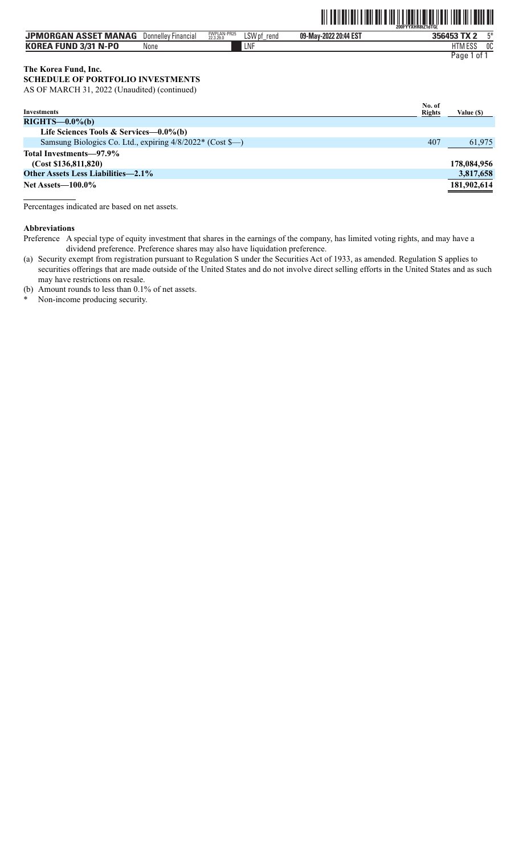### THE TENNIS IN THE THE THE TABLE TO THE TABLE TO THE TABLE TO THE TABLE TO THE TABLE TO THE TABLE TO THE TABLE TO

| <b>JPMORGAN ASSET MANAG</b> | Donnelley Financial | FWPLAN-PR25<br>22.3.29.0 | LSW pf<br>rend | 09-May-2022 20:44 EST | $F*$<br>356453 TX 2 |
|-----------------------------|---------------------|--------------------------|----------------|-----------------------|---------------------|
| <b>KOREA FUND 3/31 N-PO</b> | None                |                          | LNF            |                       | HTM ESS<br>0C       |
|                             |                     |                          |                |                       | Paqe<br>- ot        |

### **The Korea Fund, Inc.**

**SCHEDULE OF PORTFOLIO INVESTMENTS** AS OF MARCH 31, 2022 (Unaudited) (continued)

**Investments No. of Rights Value (\$) RIGHTS—0.0%(b) Life Sciences Tools & Services—0.0%(b)** Samsung Biologics Co. Ltd., expiring  $4/8/2022$ <sup>\*</sup> (Cost \$-) 407 61,975 **Total Investments—97.9% (Cost \$136,811,820) 178,084,956 Other Assets Less Liabilities—2.1% 3,817,658 Net Assets—100.0% 181,902,614** 

Percentages indicated are based on net assets.

#### **Abbreviations**

- Preference A special type of equity investment that shares in the earnings of the company, has limited voting rights, and may have a dividend preference. Preference shares may also have liquidation preference.
- (a) Security exempt from registration pursuant to Regulation S under the Securities Act of 1933, as amended. Regulation S applies to securities offerings that are made outside of the United States and do not involve direct selling efforts in the United States and as such may have restrictions on resale.
- (b) Amount rounds to less than 0.1% of net assets.
- Non-income producing security.